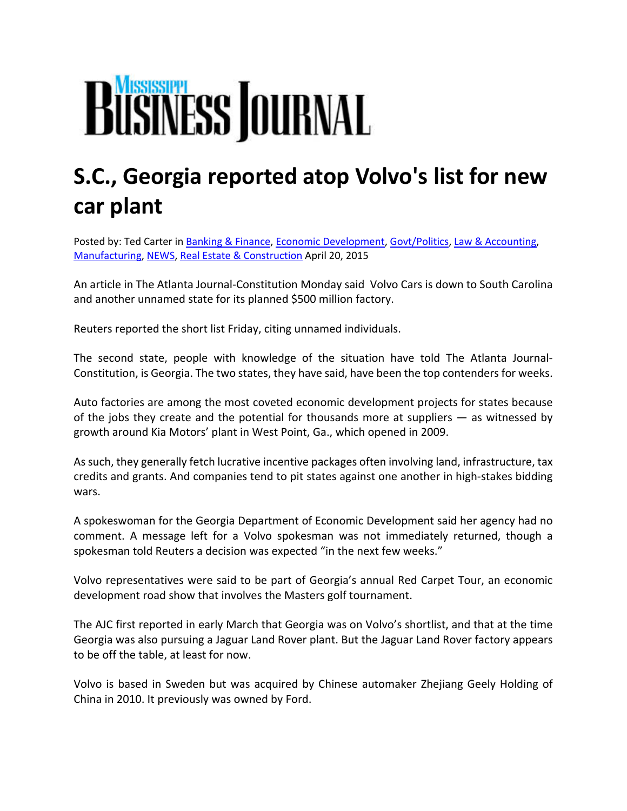## **BUSINESS JOURNAL**

## **S.C., Georgia reported atop Volvo's list for new car plant**

Posted by: Ted Carter in Banking & Finance, Economic Development, Govt/Politics, Law & Accounting, Manufacturing, NEWS, Real Estate & Construction April 20, 2015

An article in The Atlanta Journal‐Constitution Monday said Volvo Cars is down to South Carolina and another unnamed state for its planned \$500 million factory.

Reuters reported the short list Friday, citing unnamed individuals.

The second state, people with knowledge of the situation have told The Atlanta Journal‐ Constitution, is Georgia. The two states, they have said, have been the top contenders for weeks.

Auto factories are among the most coveted economic development projects for states because of the jobs they create and the potential for thousands more at suppliers — as witnessed by growth around Kia Motors' plant in West Point, Ga., which opened in 2009.

Assuch, they generally fetch lucrative incentive packages often involving land, infrastructure, tax credits and grants. And companies tend to pit states against one another in high‐stakes bidding wars.

A spokeswoman for the Georgia Department of Economic Development said her agency had no comment. A message left for a Volvo spokesman was not immediately returned, though a spokesman told Reuters a decision was expected "in the next few weeks."

Volvo representatives were said to be part of Georgia's annual Red Carpet Tour, an economic development road show that involves the Masters golf tournament.

The AJC first reported in early March that Georgia was on Volvo's shortlist, and that at the time Georgia was also pursuing a Jaguar Land Rover plant. But the Jaguar Land Rover factory appears to be off the table, at least for now.

Volvo is based in Sweden but was acquired by Chinese automaker Zhejiang Geely Holding of China in 2010. It previously was owned by Ford.